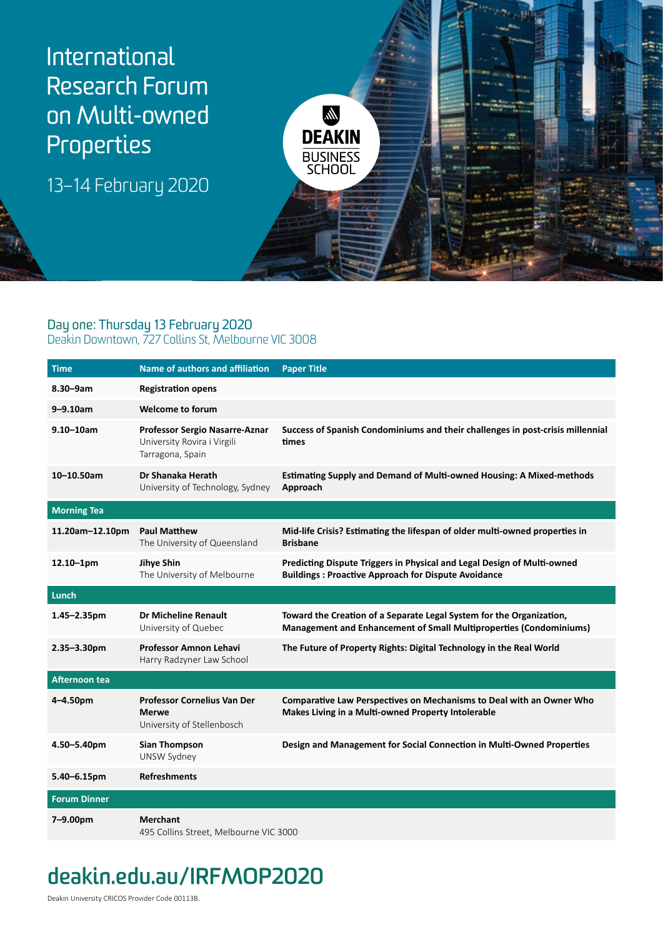

### Day one: Thursday 13 February 2020

#### Deakin Downtown, 727 Collins St, Melbourne VIC 3008

| <b>Time</b>         | <b>Name of authors and affiliation</b>                                            | <b>Paper Title</b>                                                                                                                         |
|---------------------|-----------------------------------------------------------------------------------|--------------------------------------------------------------------------------------------------------------------------------------------|
| $8.30 - 9am$        | <b>Registration opens</b>                                                         |                                                                                                                                            |
| $9 - 9.10$ am       | <b>Welcome to forum</b>                                                           |                                                                                                                                            |
| $9.10 - 10$ am      | Professor Sergio Nasarre-Aznar<br>University Rovira i Virgili<br>Tarragona, Spain | Success of Spanish Condominiums and their challenges in post-crisis millennial<br>times                                                    |
| $10 - 10.50$ am     | Dr Shanaka Herath<br>University of Technology, Sydney                             | <b>Estimating Supply and Demand of Multi-owned Housing: A Mixed-methods</b><br>Approach                                                    |
| <b>Morning Tea</b>  |                                                                                   |                                                                                                                                            |
| 11.20am-12.10pm     | <b>Paul Matthew</b><br>The University of Queensland                               | Mid-life Crisis? Estimating the lifespan of older multi-owned properties in<br><b>Brisbane</b>                                             |
| $12.10 - 1pm$       | Jihye Shin<br>The University of Melbourne                                         | Predicting Dispute Triggers in Physical and Legal Design of Multi-owned<br><b>Buildings: Proactive Approach for Dispute Avoidance</b>      |
| Lunch               |                                                                                   |                                                                                                                                            |
| $1.45 - 2.35$ pm    | Dr Micheline Renault<br>University of Quebec                                      | Toward the Creation of a Separate Legal System for the Organization,<br>Management and Enhancement of Small Multiproperties (Condominiums) |
| $2.35 - 3.30$ pm    | <b>Professor Amnon Lehavi</b><br>Harry Radzyner Law School                        | The Future of Property Rights: Digital Technology in the Real World                                                                        |
| Afternoon tea       |                                                                                   |                                                                                                                                            |
| 4-4.50pm            | <b>Professor Cornelius Van Der</b><br>Merwe<br>University of Stellenbosch         | <b>Comparative Law Perspectives on Mechanisms to Deal with an Owner Who</b><br>Makes Living in a Multi-owned Property Intolerable          |
| 4.50-5.40pm         | <b>Sian Thompson</b><br>UNSW Sydney                                               | Design and Management for Social Connection in Multi-Owned Properties                                                                      |
| 5.40-6.15pm         | <b>Refreshments</b>                                                               |                                                                                                                                            |
| <b>Forum Dinner</b> |                                                                                   |                                                                                                                                            |
| 7-9.00pm            | <b>Merchant</b><br>495 Collins Street, Melbourne VIC 3000                         |                                                                                                                                            |

# **deakin.edu.au/IRFMOP2020**

Deakin University CRICOS Provider Code 00113B.